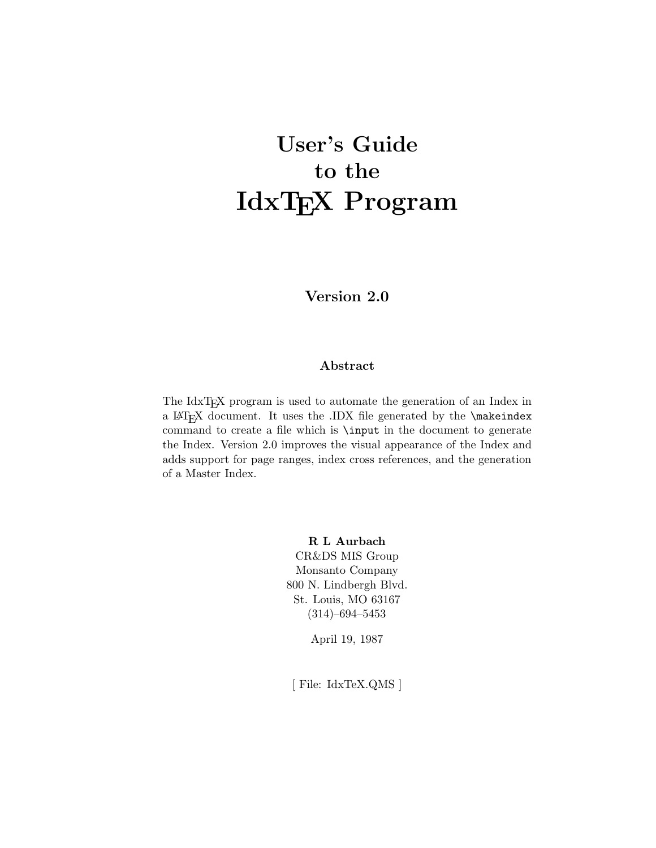# **User's Guide to the IdxTEX Program**

**Version 2.0**

#### **Abstract**

The IdxTEX program is used to automate the generation of an Index in a LAT<sub>E</sub>X document. It uses the .IDX file generated by the  $\mathcal{E}$ command to create a file which is \input in the document to generate the Index. Version 2.0 improves the visual appearance of the Index and adds support for page ranges, index cross references, and the generation of a Master Index.

> **R L Aurbach** CR&DS MIS Group Monsanto Company 800 N. Lindbergh Blvd. St. Louis, MO 63167 (314)–694–5453

> > April 19, 1987

[ File: IdxTeX.QMS ]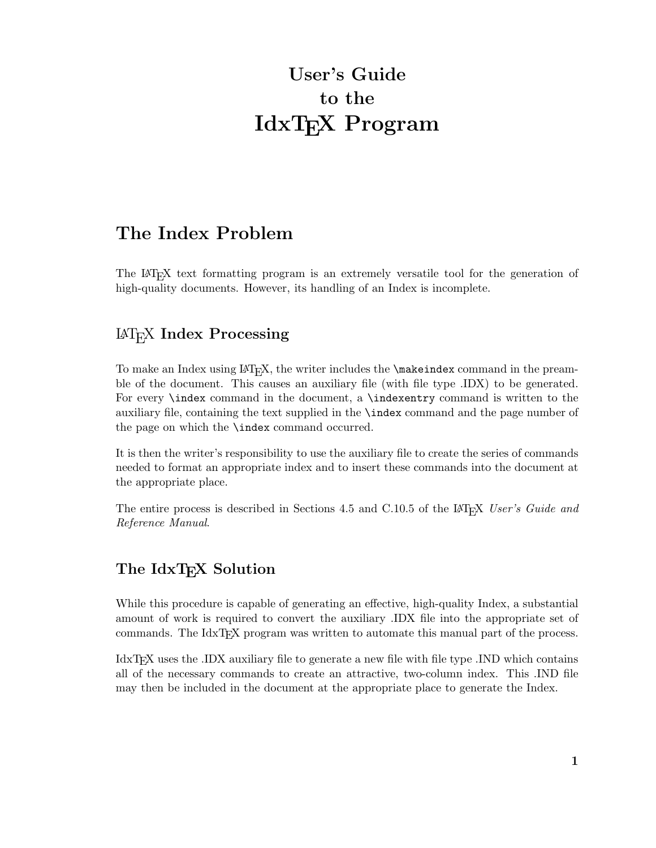# **User's Guide to the IdxTEX Program**

## **The Index Problem**

The LAT<sub>EX</sub> text formatting program is an extremely versatile tool for the generation of high-quality documents. However, its handling of an Index is incomplete.

### LaTEX **Index Processing**

To make an Index using  $\langle \Delta \rangle$ , the writer includes the  $\langle \Delta \rangle$  command in the preamble of the document. This causes an auxiliary file (with file type .IDX) to be generated. For every \index command in the document, a \indexentry command is written to the auxiliary file, containing the text supplied in the \index command and the page number of the page on which the \index command occurred.

It is then the writer's responsibility to use the auxiliary file to create the series of commands needed to format an appropriate index and to insert these commands into the document at the appropriate place.

The entire process is described in Sections 4.5 and C.10.5 of the LAT<sub>E</sub>X *User's Guide and Reference Manual*.

### The IdxT<sub>E</sub>X Solution

While this procedure is capable of generating an effective, high-quality Index, a substantial amount of work is required to convert the auxiliary .IDX file into the appropriate set of commands. The IdxTEX program was written to automate this manual part of the process.

IdxT<sub>EX</sub> uses the .IDX auxiliary file to generate a new file with file type .IND which contains all of the necessary commands to create an attractive, two-column index. This .IND file may then be included in the document at the appropriate place to generate the Index.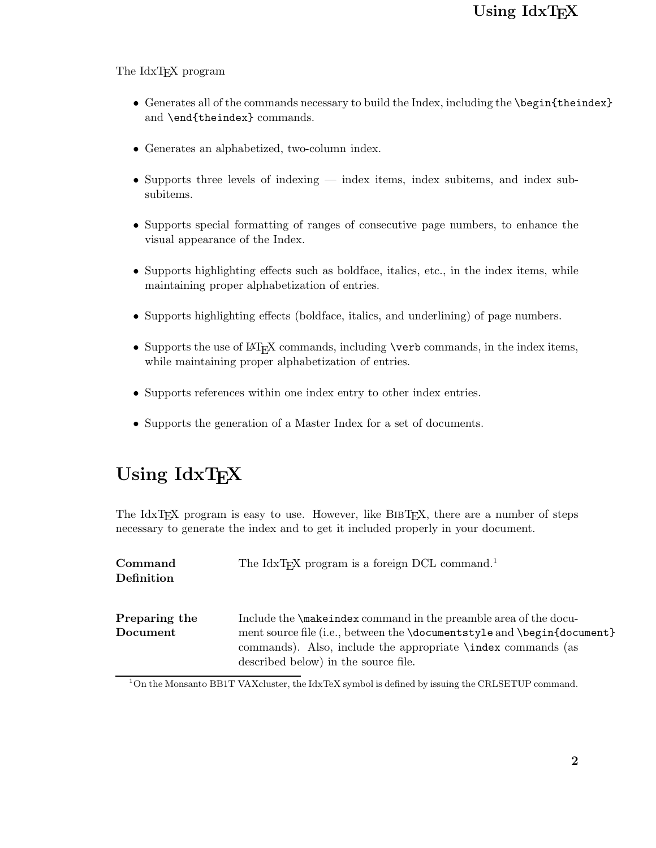### Using IdxT<sub>E</sub>X

#### The IdxT<sub>EX</sub> program

- Generates all of the commands necessary to build the Index, including the **\begin{theindex}** and \end{theindex} commands.
- Generates an alphabetized, two-column index.
- Supports three levels of indexing index items, index subsubitems.
- *•* Supports special formatting of ranges of consecutive page numbers, to enhance the visual appearance of the Index.
- Supports highlighting effects such as boldface, italics, etc., in the index items, while maintaining proper alphabetization of entries.
- Supports highlighting effects (boldface, italics, and underlining) of page numbers.
- Supports the use of LAT<sub>E</sub>X commands, including **\verb** commands, in the index items, while maintaining proper alphabetization of entries.
- Supports references within one index entry to other index entries.
- *•* Supports the generation of a Master Index for a set of documents.

# Using  $IdxTr[X]$

The IdxT<sub>EX</sub> program is easy to use. However, like BIBT<sub>EX</sub>, there are a number of steps necessary to generate the index and to get it included properly in your document.

| Command<br>Definition     | The IdxT <sub>F</sub> X program is a foreign DCL command. <sup>1</sup>                                                                                                                                                                                            |
|---------------------------|-------------------------------------------------------------------------------------------------------------------------------------------------------------------------------------------------------------------------------------------------------------------|
| Preparing the<br>Document | Include the <b>\makeindex</b> command in the preamble area of the docu-<br>ment source file (i.e., between the \documentstyle and \begin{document}<br>commands). Also, include the appropriate <b>\index</b> commands (as<br>described below) in the source file. |

<sup>1</sup>On the Monsanto BB1T VAXcluster, the IdxTeX symbol is defined by issuing the CRLSETUP command.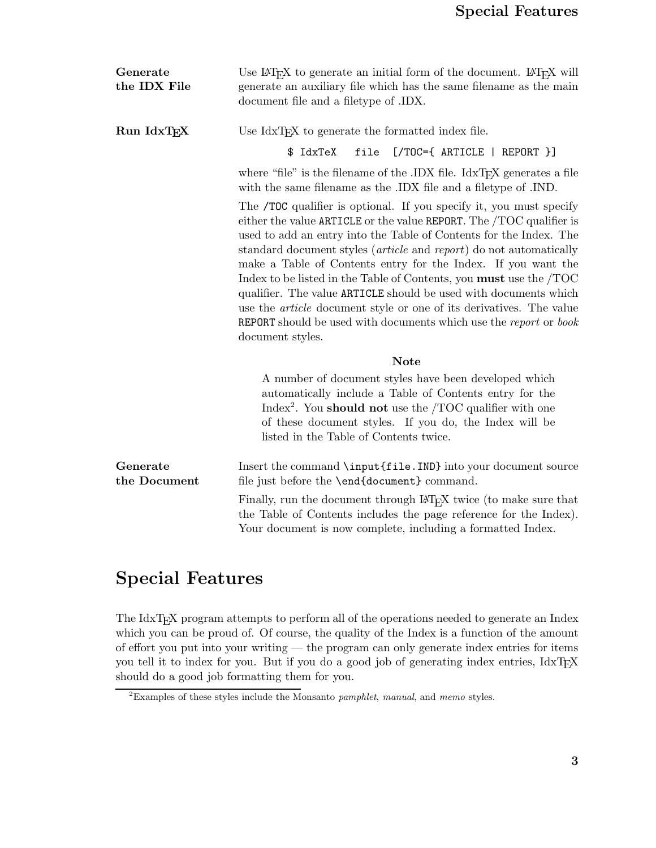| Generate<br>the IDX File | Use $\text{LipX}$ to generate an initial form of the document. $\text{LipX}$ will<br>generate an auxiliary file which has the same filename as the main<br>document file and a filetype of .IDX.                                                                                                                                                                                                                                                                                                                                                                                                                                                                                               |
|--------------------------|------------------------------------------------------------------------------------------------------------------------------------------------------------------------------------------------------------------------------------------------------------------------------------------------------------------------------------------------------------------------------------------------------------------------------------------------------------------------------------------------------------------------------------------------------------------------------------------------------------------------------------------------------------------------------------------------|
| Run IdxTFX               | Use IdxT <sub>F</sub> X to generate the formatted index file.                                                                                                                                                                                                                                                                                                                                                                                                                                                                                                                                                                                                                                  |
|                          | \$ IdxTeX<br>$[70C=\{ARTICLE   REPORT \}]$<br>file                                                                                                                                                                                                                                                                                                                                                                                                                                                                                                                                                                                                                                             |
|                          | where "file" is the filename of the .IDX file. IdxT <sub>F</sub> X generates a file<br>with the same filename as the .IDX file and a filetype of .IND.                                                                                                                                                                                                                                                                                                                                                                                                                                                                                                                                         |
|                          | The /TOC qualifier is optional. If you specify it, you must specify<br>either the value ARTICLE or the value REPORT. The /TOC qualifier is<br>used to add an entry into the Table of Contents for the Index. The<br>standard document styles ( <i>article</i> and <i>report</i> ) do not automatically<br>make a Table of Contents entry for the Index. If you want the<br>Index to be listed in the Table of Contents, you must use the TOC<br>qualifier. The value ARTICLE should be used with documents which<br>use the <i>article</i> document style or one of its derivatives. The value<br><b>REPORT</b> should be used with documents which use the report or book<br>document styles. |
|                          | <b>Note</b>                                                                                                                                                                                                                                                                                                                                                                                                                                                                                                                                                                                                                                                                                    |
|                          | A number of document styles have been developed which<br>automatically include a Table of Contents entry for the<br>Index <sup>2</sup> . You <b>should not</b> use the $/TOC$ qualifier with one<br>of these document styles. If you do, the Index will be<br>listed in the Table of Contents twice.                                                                                                                                                                                                                                                                                                                                                                                           |
| Generate<br>the Document | Insert the command \input{file.IND} into your document source<br>file just before the <b>\end{document}</b> command.                                                                                                                                                                                                                                                                                                                                                                                                                                                                                                                                                                           |
|                          | Finally, run the document through $\mathbb{A}T_{F}X$ twice (to make sure that<br>the Table of Contents includes the page reference for the Index).<br>Your document is now complete, including a formatted Index.                                                                                                                                                                                                                                                                                                                                                                                                                                                                              |

## **Special Features**

The IdxT<sub>E</sub>X program attempts to perform all of the operations needed to generate an Index which you can be proud of. Of course, the quality of the Index is a function of the amount of effort you put into your writing — the program can only generate index entries for items you tell it to index for you. But if you do a good job of generating index entries, IdxTEX should do a good job formatting them for you.

<sup>2</sup>Examples of these styles include the Monsanto *pamphlet*, *manual*, and *memo* styles.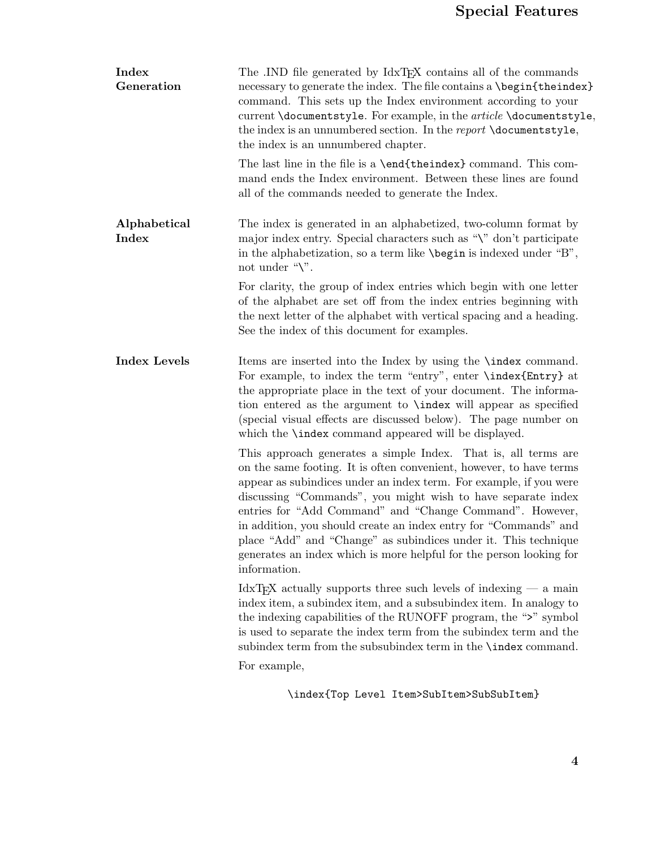| Index<br>Generation   | The .IND file generated by IdxT <sub>F</sub> X contains all of the commands<br>necessary to generate the index. The file contains a \begin{theindex}<br>command. This sets up the Index environment according to your<br>current \documentstyle. For example, in the <i>article</i> \documentstyle,<br>the index is an unnumbered section. In the report \documentstyle,<br>the index is an unnumbered chapter.                                                                                                                                                       |
|-----------------------|-----------------------------------------------------------------------------------------------------------------------------------------------------------------------------------------------------------------------------------------------------------------------------------------------------------------------------------------------------------------------------------------------------------------------------------------------------------------------------------------------------------------------------------------------------------------------|
|                       | The last line in the file is a <b>\end{theindex}</b> command. This com-<br>mand ends the Index environment. Between these lines are found<br>all of the commands needed to generate the Index.                                                                                                                                                                                                                                                                                                                                                                        |
| Alphabetical<br>Index | The index is generated in an alphabetized, two-column format by<br>major index entry. Special characters such as "\" don't participate<br>in the alphabetization, so a term like $\begin{array}{c} \beta \end{array}$ is indexed under "B",<br>not under " $\Upsilon$ ".                                                                                                                                                                                                                                                                                              |
|                       | For clarity, the group of index entries which begin with one letter<br>of the alphabet are set off from the index entries beginning with<br>the next letter of the alphabet with vertical spacing and a heading.<br>See the index of this document for examples.                                                                                                                                                                                                                                                                                                      |
| <b>Index Levels</b>   | Items are inserted into the Index by using the <b>\index</b> command.<br>For example, to index the term "entry", enter \index{Entry} at<br>the appropriate place in the text of your document. The informa-<br>tion entered as the argument to <b>\index</b> will appear as specified<br>(special visual effects are discussed below). The page number on<br>which the <b>\index</b> command appeared will be displayed.                                                                                                                                              |
|                       | This approach generates a simple Index. That is, all terms are<br>on the same footing. It is often convenient, however, to have terms<br>appear as subindices under an index term. For example, if you were<br>discussing "Commands", you might wish to have separate index<br>entries for "Add Command" and "Change Command". However,<br>in addition, you should create an index entry for "Commands" and<br>place "Add" and "Change" as subindices under it. This technique<br>generates an index which is more helpful for the person looking for<br>information. |
|                       | IdxT <sub>F</sub> X actually supports three such levels of indexing $-$ a main<br>index item, a subindex item, and a subsubindex item. In analogy to<br>the indexing capabilities of the RUNOFF program, the ">" symbol<br>is used to separate the index term from the subindex term and the<br>subindex term from the subsubindex term in the <b>\index</b> command.<br>For example,                                                                                                                                                                                 |

\index{Top Level Item>SubItem>SubSubItem}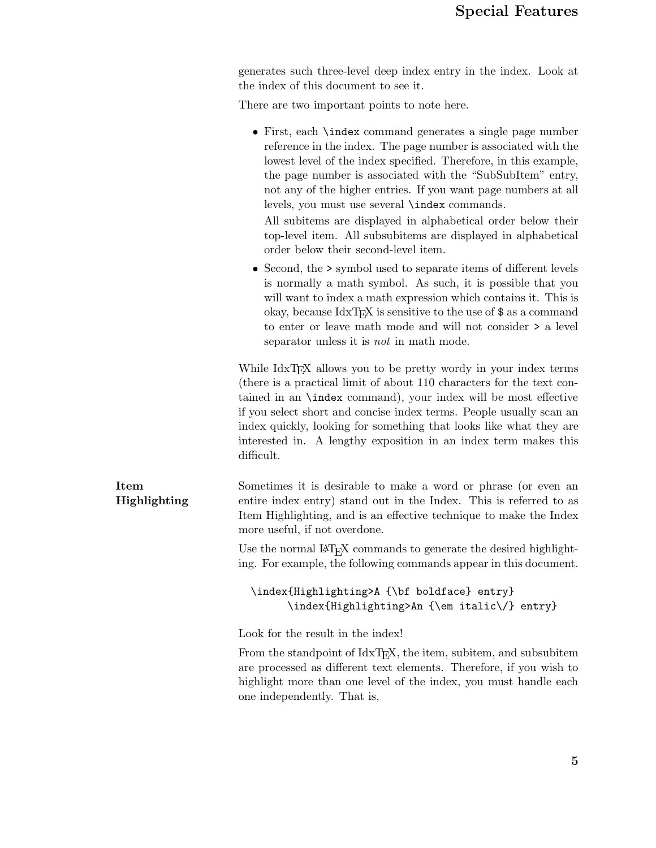generates such three-level deep index entry in the index. Look at the index of this document to see it.

There are two important points to note here.

|                      | $\bullet$ First, each <b>\index</b> command generates a single page number<br>reference in the index. The page number is associated with the<br>lowest level of the index specified. Therefore, in this example,<br>the page number is associated with the "SubSubItem" entry,<br>not any of the higher entries. If you want page numbers at all<br>levels, you must use several <b>\index</b> commands.<br>All subitems are displayed in alphabetical order below their<br>top-level item. All subsubitems are displayed in alphabetical<br>order below their second-level item. |
|----------------------|-----------------------------------------------------------------------------------------------------------------------------------------------------------------------------------------------------------------------------------------------------------------------------------------------------------------------------------------------------------------------------------------------------------------------------------------------------------------------------------------------------------------------------------------------------------------------------------|
|                      | • Second, the $\geq$ symbol used to separate items of different levels<br>is normally a math symbol. As such, it is possible that you<br>will want to index a math expression which contains it. This is<br>okay, because $IdxT_FX$ is sensitive to the use of $\$\$ as a command<br>to enter or leave math mode and will not consider $\geq$ a level<br>separator unless it is <i>not</i> in math mode.                                                                                                                                                                          |
|                      | While IdxT <sub>F</sub> X allows you to be pretty wordy in your index terms<br>(there is a practical limit of about 110 characters for the text con-<br>tained in an <b>\index</b> command}, your index will be most effective<br>if you select short and concise index terms. People usually scan an<br>index quickly, looking for something that looks like what they are<br>interested in. A lengthy exposition in an index term makes this<br>difficult.                                                                                                                      |
| Item<br>Highlighting | Sometimes it is desirable to make a word or phrase (or even an<br>entire index entry) stand out in the Index. This is referred to as<br>Item Highlighting, and is an effective technique to make the Index<br>more useful, if not overdone.                                                                                                                                                                                                                                                                                                                                       |
|                      | Use the normal $\text{LATF}X$ commands to generate the desired highlight-<br>ing. For example, the following commands appear in this document.                                                                                                                                                                                                                                                                                                                                                                                                                                    |
|                      | \index{Highlighting>A {\bf boldface} entry}<br>\index{Highlighting>An {\em italic\/} entry}                                                                                                                                                                                                                                                                                                                                                                                                                                                                                       |
|                      | Look for the result in the index!                                                                                                                                                                                                                                                                                                                                                                                                                                                                                                                                                 |
|                      | From the standpoint of IdxTEX, the item, subitem, and subsubitem<br>are processed as different text elements. Therefore, if you wish to<br>highlight more than one level of the index, you must handle each<br>one independently. That is,                                                                                                                                                                                                                                                                                                                                        |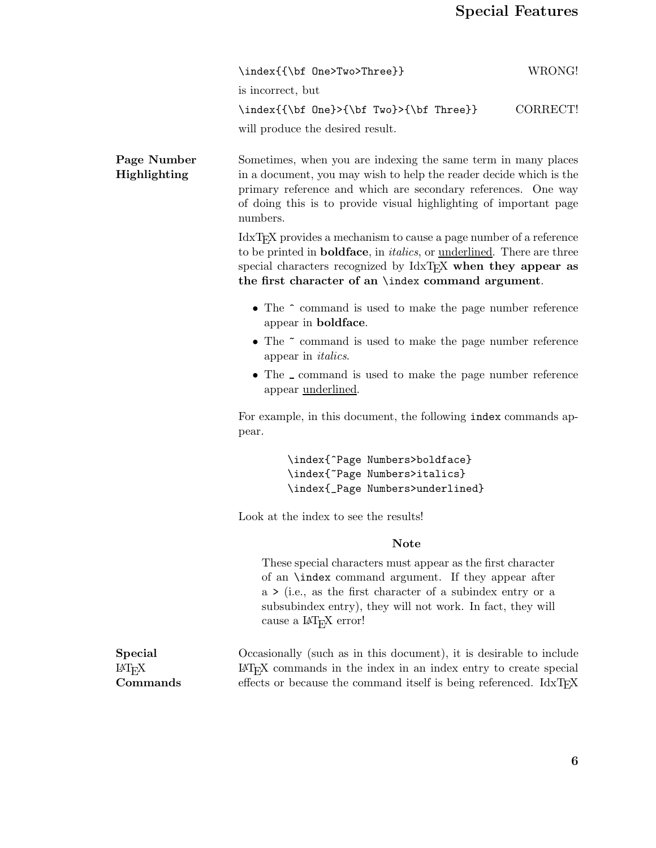|                                             | \index{{\bf One>Two>Three}}                                                                                                                                                                                                                                                                                 | WRONG!   |
|---------------------------------------------|-------------------------------------------------------------------------------------------------------------------------------------------------------------------------------------------------------------------------------------------------------------------------------------------------------------|----------|
|                                             | is incorrect, but                                                                                                                                                                                                                                                                                           |          |
|                                             | \index{{\bf 0ne}>{\bf Two}>{\bf Three}}                                                                                                                                                                                                                                                                     | CORRECT! |
|                                             | will produce the desired result.                                                                                                                                                                                                                                                                            |          |
| Page Number<br>Highlighting                 | Sometimes, when you are indexing the same term in many places<br>in a document, you may wish to help the reader decide which is the<br>primary reference and which are secondary references. One way<br>of doing this is to provide visual highlighting of important page<br>numbers.                       |          |
|                                             | IdxT <sub>F</sub> X provides a mechanism to cause a page number of a reference<br>to be printed in <b>boldface</b> , in <i>italics</i> , or <u>underlined</u> . There are three<br>special characters recognized by IdxTFX when they appear as<br>the first character of an <i>\index</i> command argument. |          |
|                                             | • The $\hat{\ }$ command is used to make the page number reference<br>appear in <b>boldface</b> .                                                                                                                                                                                                           |          |
|                                             | • The ~ command is used to make the page number reference<br>appear in <i>italics</i> .                                                                                                                                                                                                                     |          |
|                                             | • The _ command is used to make the page number reference<br>appear <u>underlined</u> .                                                                                                                                                                                                                     |          |
|                                             | For example, in this document, the following index commands ap-<br>pear.                                                                                                                                                                                                                                    |          |
|                                             | \index{^Page Numbers>boldface}                                                                                                                                                                                                                                                                              |          |
|                                             | \index{"Page Numbers>italics}<br>\index{_Page Numbers>underlined}                                                                                                                                                                                                                                           |          |
|                                             | Look at the index to see the results!                                                                                                                                                                                                                                                                       |          |
|                                             | <b>Note</b>                                                                                                                                                                                                                                                                                                 |          |
|                                             | These special characters must appear as the first character<br>of an <b>\index</b> command argument. If they appear after<br>$a \geq (i.e., as the first character of a subindex entry or a)$<br>subsubindex entry), they will not work. In fact, they will<br>cause a IAT <sub>E</sub> X error!            |          |
| <b>Special</b><br>$M_{\rm E}$ X<br>Commands | Occasionally (such as in this document), it is desirable to include<br>$IAT$ <sub>E</sub> X commands in the index in an index entry to create special<br>effects or because the command itself is being referenced. IdxTEX                                                                                  |          |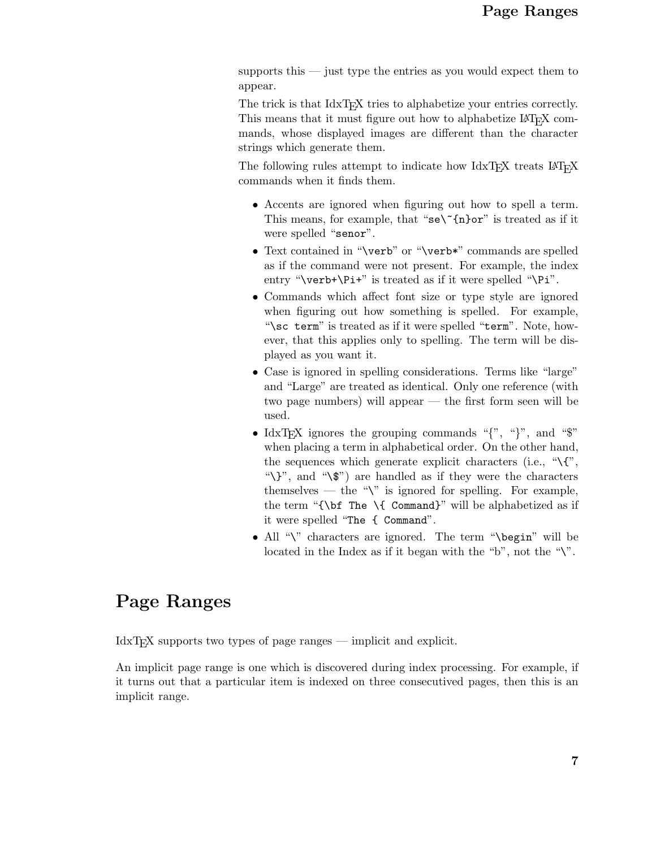supports this — just type the entries as you would expect them to appear.

The trick is that IdxTEX tries to alphabetize your entries correctly. This means that it must figure out how to alphabetize LAT<sub>E</sub>X commands, whose displayed images are different than the character strings which generate them.

The following rules attempt to indicate how  $\text{IdxTeX}$  treats  $\text{LATEX}$ commands when it finds them.

- *•* Accents are ignored when figuring out how to spell a term. This means, for example, that "se\"{n}or" is treated as if it were spelled "senor".
- Text contained in "\verb" or "\verb\*" commands are spelled as if the command were not present. For example, the index entry " $\verb|\verb|verb+\\Pi+"$  is treated as if it were spelled " $\verb|Pi|.$ ".
- *•* Commands which affect font size or type style are ignored when figuring out how something is spelled. For example, "\sc term" is treated as if it were spelled "term". Note, however, that this applies only to spelling. The term will be displayed as you want it.
- Case is ignored in spelling considerations. Terms like "large" and "Large" are treated as identical. Only one reference (with two page numbers) will appear — the first form seen will be used.
- IdxT<sub>E</sub>X ignores the grouping commands " $\{$ ", " $\}$ ", and "\$" when placing a term in alphabetical order. On the other hand, the sequences which generate explicit characters (i.e.,  $\mathcal{H}$ , "\}", and "\\$") are handled as if they were the characters themselves — the " $\mathcal{N}$ " is ignored for spelling. For example, the term "{\bf The \{ Command}" will be alphabetized as if it were spelled "The { Command".
- All "\" characters are ignored. The term "\begin" will be located in the Index as if it began with the "b", not the " $\mathcal{N}$ ".

## **Page Ranges**

IdxT<sub>E</sub>X supports two types of page ranges — implicit and explicit.

An implicit page range is one which is discovered during index processing. For example, if it turns out that a particular item is indexed on three consecutived pages, then this is an implicit range.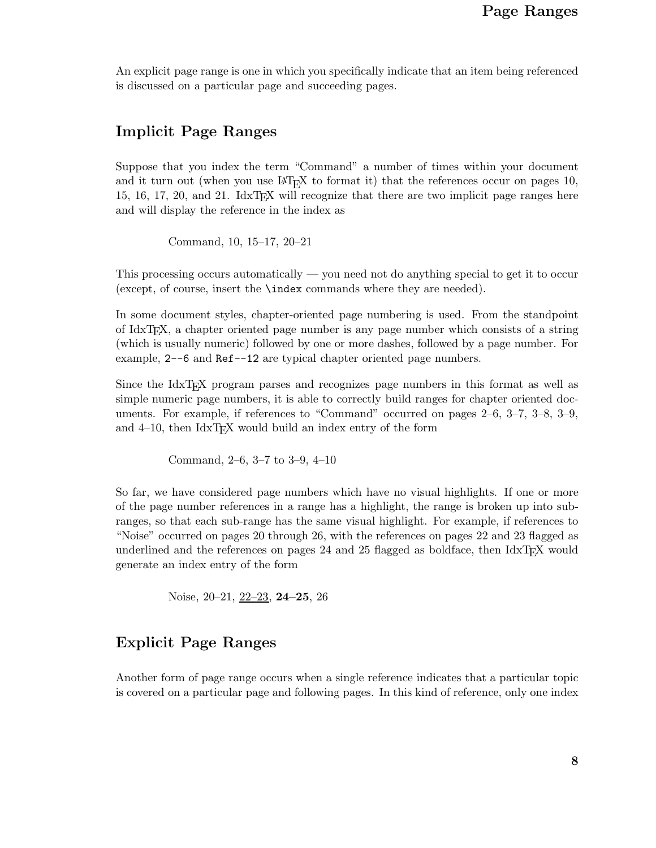An explicit page range is one in which you specifically indicate that an item being referenced is discussed on a particular page and succeeding pages.

### **Implicit Page Ranges**

Suppose that you index the term "Command" a number of times within your document and it turn out (when you use  $\mathbb{A}T_FX$  to format it) that the references occur on pages 10, 15, 16, 17, 20, and 21. IdxT<sub>E</sub>X will recognize that there are two implicit page ranges here and will display the reference in the index as

Command, 10, 15–17, 20–21

This processing occurs automatically — you need not do anything special to get it to occur (except, of course, insert the \index commands where they are needed).

In some document styles, chapter-oriented page numbering is used. From the standpoint of IdxTEX, a chapter oriented page number is any page number which consists of a string (which is usually numeric) followed by one or more dashes, followed by a page number. For example, 2--6 and Ref--12 are typical chapter oriented page numbers.

Since the IdxTEX program parses and recognizes page numbers in this format as well as simple numeric page numbers, it is able to correctly build ranges for chapter oriented documents. For example, if references to "Command" occurred on pages 2–6, 3–7, 3–8, 3–9, and  $4-10$ , then IdxT<sub>E</sub>X would build an index entry of the form

Command, 2–6, 3–7 to 3–9, 4–10

So far, we have considered page numbers which have no visual highlights. If one or more of the page number references in a range has a highlight, the range is broken up into subranges, so that each sub-range has the same visual highlight. For example, if references to "Noise" occurred on pages 20 through 26, with the references on pages 22 and 23 flagged as underlined and the references on pages 24 and 25 flagged as boldface, then  $Idx$ TEX would generate an index entry of the form

Noise, 20–21, 22–23, **24–25**, 26

### **Explicit Page Ranges**

Another form of page range occurs when a single reference indicates that a particular topic is covered on a particular page and following pages. In this kind of reference, only one index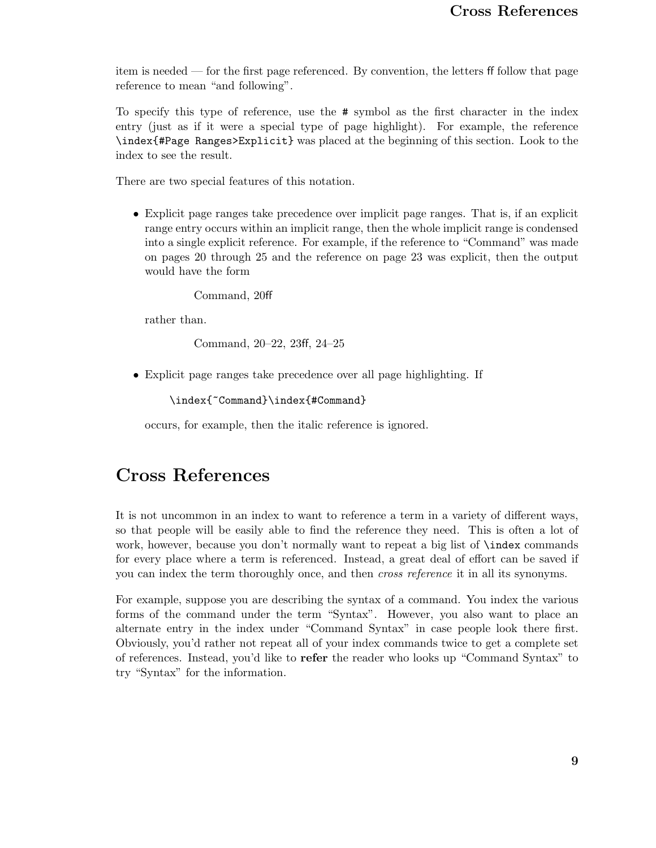item is needed — for the first page referenced. By convention, the letters ff follow that page reference to mean "and following".

To specify this type of reference, use the # symbol as the first character in the index entry (just as if it were a special type of page highlight). For example, the reference \index{#Page Ranges>Explicit} was placed at the beginning of this section. Look to the index to see the result.

There are two special features of this notation.

*•* Explicit page ranges take precedence over implicit page ranges. That is, if an explicit range entry occurs within an implicit range, then the whole implicit range is condensed into a single explicit reference. For example, if the reference to "Command" was made on pages 20 through 25 and the reference on page 23 was explicit, then the output would have the form

Command, 20ff

rather than.

Command, 20–22, 23ff, 24–25

*•* Explicit page ranges take precedence over all page highlighting. If

\index{~Command}\index{#Command}

occurs, for example, then the italic reference is ignored.

### **Cross References**

It is not uncommon in an index to want to reference a term in a variety of different ways, so that people will be easily able to find the reference they need. This is often a lot of work, however, because you don't normally want to repeat a big list of \index commands for every place where a term is referenced. Instead, a great deal of effort can be saved if you can index the term thoroughly once, and then *cross reference* it in all its synonyms.

For example, suppose you are describing the syntax of a command. You index the various forms of the command under the term "Syntax". However, you also want to place an alternate entry in the index under "Command Syntax" in case people look there first. Obviously, you'd rather not repeat all of your index commands twice to get a complete set of references. Instead, you'd like to **refer** the reader who looks up "Command Syntax" to try "Syntax" for the information.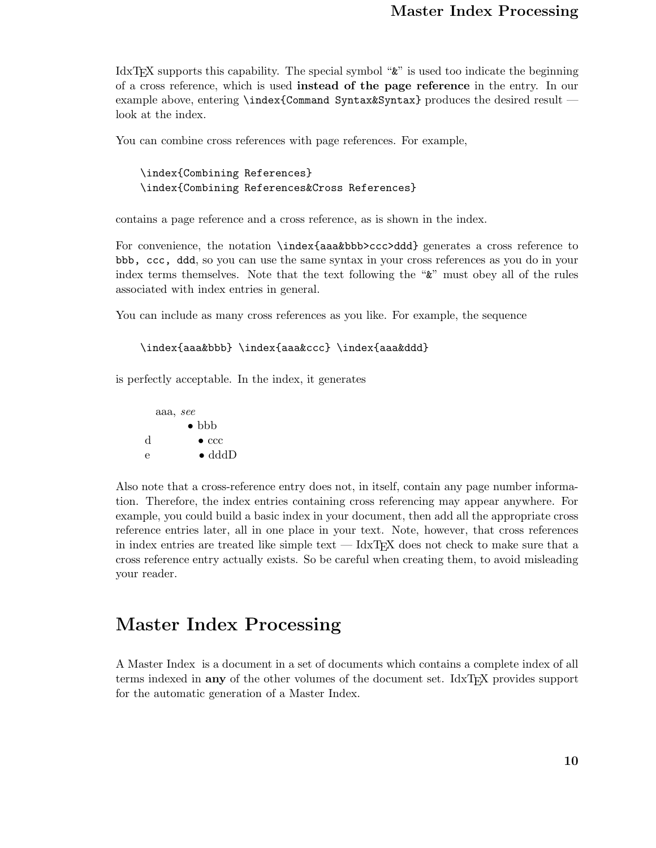IdxT<sub>E</sub>X supports this capability. The special symbol " $\&$ " is used too indicate the beginning of a cross reference, which is used **instead of the page reference** in the entry. In our example above, entering \index{Command Syntax&Syntax} produces the desired result look at the index.

You can combine cross references with page references. For example,

\index{Combining References} \index{Combining References&Cross References}

contains a page reference and a cross reference, as is shown in the index.

For convenience, the notation \index{aaa&bbb>ccc>ddd} generates a cross reference to bbb, ccc, ddd, so you can use the same syntax in your cross references as you do in your index terms themselves. Note that the text following the "&" must obey all of the rules associated with index entries in general.

You can include as many cross references as you like. For example, the sequence

\index{aaa&bbb} \index{aaa&ccc} \index{aaa&ddd}

is perfectly acceptable. In the index, it generates

aaa, *see •* bbb d *•* ccc e *•* dddD

Also note that a cross-reference entry does not, in itself, contain any page number information. Therefore, the index entries containing cross referencing may appear anywhere. For example, you could build a basic index in your document, then add all the appropriate cross reference entries later, all in one place in your text. Note, however, that cross references in index entries are treated like simple text  $-$  IdxT<sub>E</sub>X does not check to make sure that a cross reference entry actually exists. So be careful when creating them, to avoid misleading your reader.

### **Master Index Processing**

A Master Index is a document in a set of documents which contains a complete index of all terms indexed in **any** of the other volumes of the document set. IdxTEX provides support for the automatic generation of a Master Index.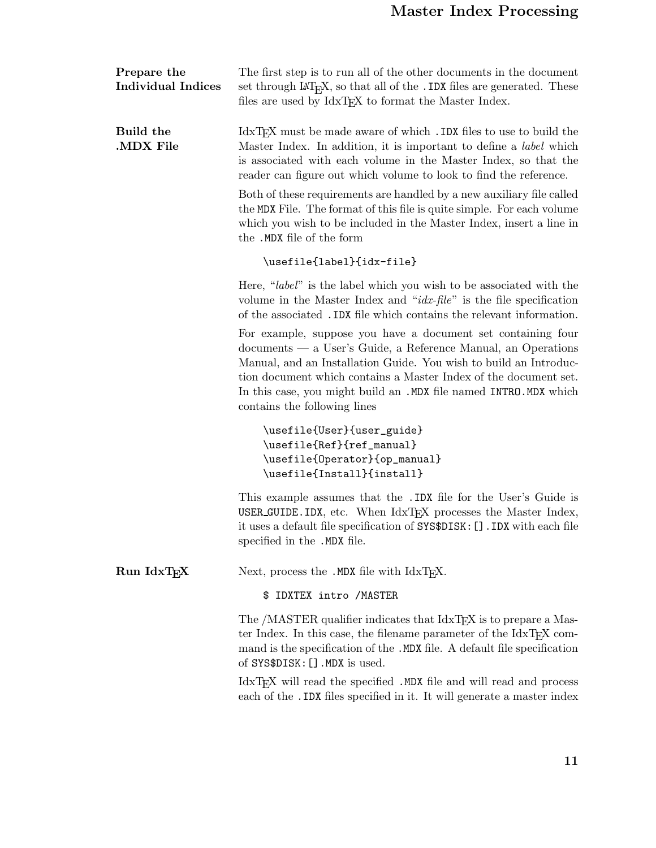| Prepare the<br><b>Individual Indices</b> | The first step is to run all of the other documents in the document<br>set through $\text{LipX}$ , so that all of the . IDX files are generated. These<br>files are used by IdxT <sub>E</sub> X to format the Master Index.                                                                                                                                                |
|------------------------------------------|----------------------------------------------------------------------------------------------------------------------------------------------------------------------------------------------------------------------------------------------------------------------------------------------------------------------------------------------------------------------------|
| Build the<br>MDX File                    | IdxT <sub>F</sub> X must be made aware of which . IDX files to use to build the<br>Master Index. In addition, it is important to define a <i>label</i> which<br>is associated with each volume in the Master Index, so that the<br>reader can figure out which volume to look to find the reference.                                                                       |
|                                          | Both of these requirements are handled by a new auxiliary file called<br>the MDX File. The format of this file is quite simple. For each volume<br>which you wish to be included in the Master Index, insert a line in<br>the .MDX file of the form                                                                                                                        |
|                                          | \usefile{label}{idx-file}                                                                                                                                                                                                                                                                                                                                                  |
|                                          | Here, "label" is the label which you wish to be associated with the<br>volume in the Master Index and " $idx$ -file" is the file specification<br>of the associated . IDX file which contains the relevant information.                                                                                                                                                    |
|                                          | For example, suppose you have a document set containing four<br>documents — a User's Guide, a Reference Manual, an Operations<br>Manual, and an Installation Guide. You wish to build an Introduc-<br>tion document which contains a Master Index of the document set.<br>In this case, you might build an .MDX file named INTRO.MDX which<br>contains the following lines |
|                                          | \usefile{User}{user_guide}<br>\usefile{Ref}{ref_manual}<br>\usefile{0perator}{op_manual}<br>\usefile{Install}{install}                                                                                                                                                                                                                                                     |
|                                          | This example assumes that the .IDX file for the User's Guide is<br>USER_GUIDE. IDX, etc. When IdxTFX processes the Master Index,<br>it uses a default file specification of SYS\$DISK: []. IDX with each file<br>specified in the .MDX file.                                                                                                                               |
| Run IdxTEX                               | Next, process the .MDX file with IdxTFX.                                                                                                                                                                                                                                                                                                                                   |
|                                          | \$ IDXTEX intro / MASTER                                                                                                                                                                                                                                                                                                                                                   |
|                                          | The /MASTER qualifier indicates that IdxT <sub>F</sub> X is to prepare a Mas-<br>ter Index. In this case, the filename parameter of the IdxT <sub>F</sub> X com-<br>mand is the specification of the .MDX file. A default file specification<br>of SYS\$DISK: []. MDX is used.                                                                                             |
|                                          | IdxTFX will read the specified .MDX file and will read and process<br>each of the . IDX files specified in it. It will generate a master index                                                                                                                                                                                                                             |
|                                          |                                                                                                                                                                                                                                                                                                                                                                            |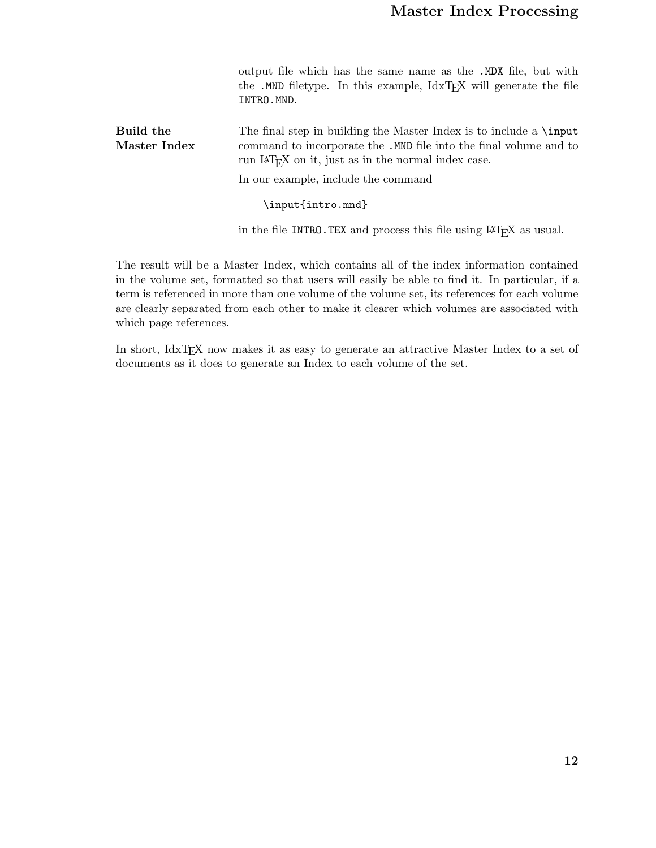output file which has the same name as the .MDX file, but with the .MND filetype. In this example, IdxTEX will generate the file INTRO.MND.

**Build the Master Index** The final step in building the Master Index is to include a \input command to incorporate the .MND file into the final volume and to run IAT<sub>E</sub>X on it, just as in the normal index case.

In our example, include the command

\input{intro.mnd}

in the file INTRO. TEX and process this file using  $\mathbb{A}T_{E}X$  as usual.

The result will be a Master Index, which contains all of the index information contained in the volume set, formatted so that users will easily be able to find it. In particular, if a term is referenced in more than one volume of the volume set, its references for each volume are clearly separated from each other to make it clearer which volumes are associated with which page references.

In short, IdxTEX now makes it as easy to generate an attractive Master Index to a set of documents as it does to generate an Index to each volume of the set.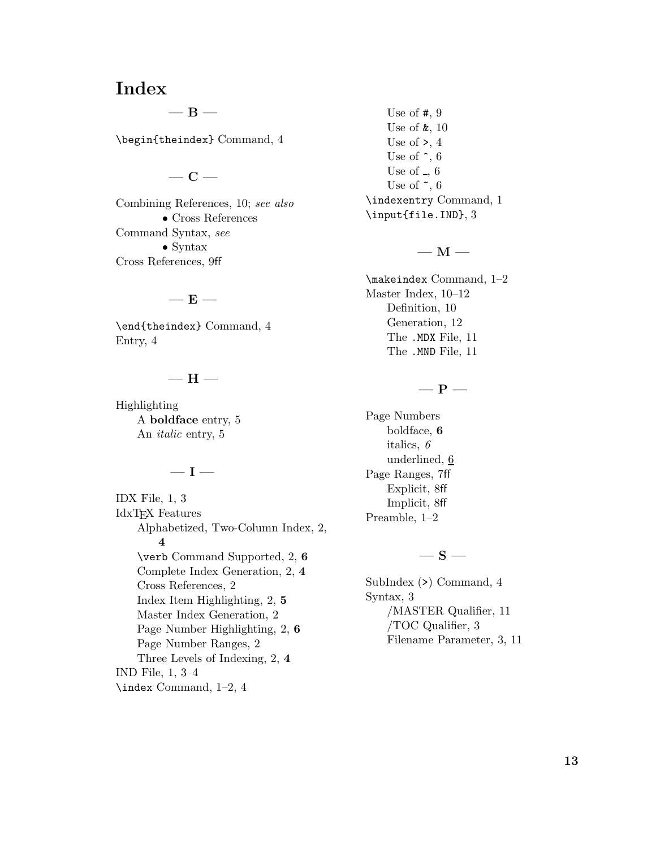### **Index**

**—B—**

\begin{theindex} Command, 4

### **—C—**

Combining References, 10; *see also •* Cross References Command Syntax, *see •* Syntax Cross References, 9ff

#### **—E—**

\end{theindex} Command, 4 Entry, 4

#### **—H—**

Highlighting A **boldface** entry, 5 An *italic* entry, 5

#### **—I—**

IDX File, 1, 3 IdxTEX Features Alphabetized, Two-Column Index, 2, **4** \verb Command Supported, 2, **6** Complete Index Generation, 2, **4** Cross References, 2 Index Item Highlighting, 2, **5** Master Index Generation, 2 Page Number Highlighting, 2, **6** Page Number Ranges, 2 Three Levels of Indexing, 2, **4** IND File, 1, 3–4 \index Command, 1–2, 4

Use of #, 9 Use of &, 10 Use of  $\ge$ , 4 Use of  $\hat{\phantom{a}}$ , 6 Use of  $\overline{.}$ , 6 Use of  $\tilde{\phantom{a}}$ , 6 \indexentry Command, 1 \input{file.IND}, 3

#### $-$  M  $-$

\makeindex Command, 1–2 Master Index, 10–12 Definition, 10 Generation, 12 The .MDX File, 11 The .MND File, 11

#### **—P—**

Page Numbers boldface, **6** italics, *6* underlined, 6 Page Ranges, 7ff Explicit, 8ff Implicit, 8ff Preamble, 1–2

#### **—S—**

SubIndex (>) Command, 4 Syntax, 3 /MASTER Qualifier, 11 /TOC Qualifier, 3 Filename Parameter, 3, 11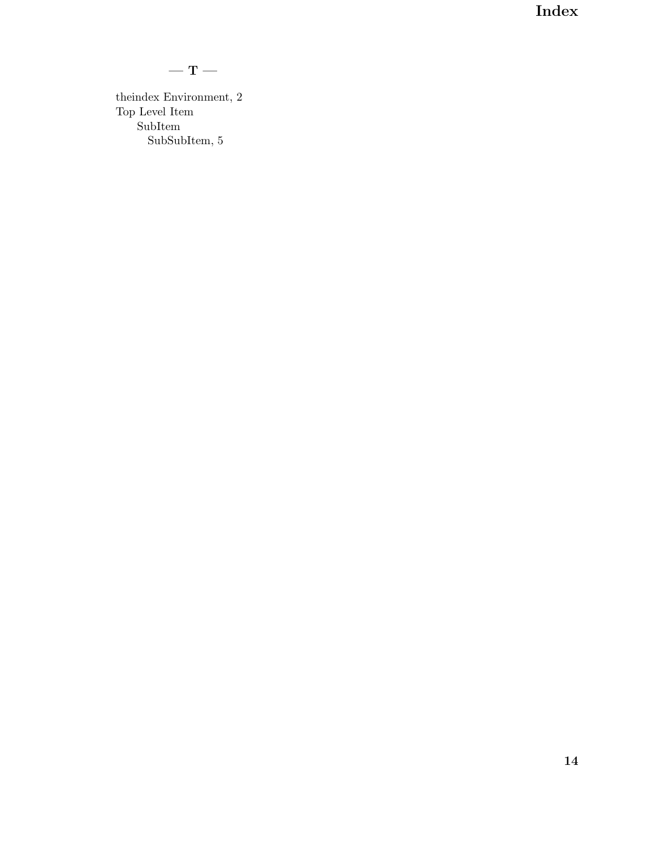**Index**

### **—T—**

theindex Environment, 2 Top Level Item SubItem SubSubItem, 5